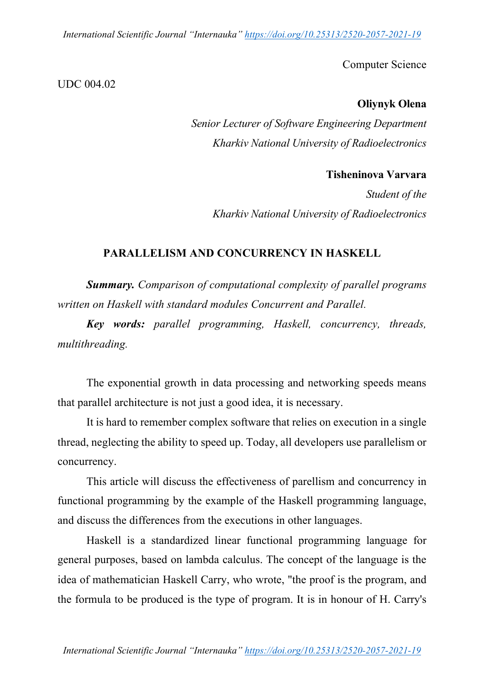*International Scientific Journal "Internauka" https://doi.org/10.25313/2520-2057-2021-19*

Computer Science

### UDC 004.02

### **Oliynyk Olena**

*Senior Lecturer of Software Engineering Department Kharkiv National University of Radioelectronics*

## **Tisheninova Varvara**

*Student of the Kharkiv National University of Radioelectronics*

### **PARALLELISM AND CONCURRENCY IN HASKELL**

*Summary. Comparison of computational complexity of parallel programs written on Haskell with standard modules Concurrent and Parallel.*

*Key words: parallel programming, Haskell, concurrency, threads, multithreading.*

The exponential growth in data processing and networking speeds means that parallel architecture is not just a good idea, it is necessary.

It is hard to remember complex software that relies on execution in a single thread, neglecting the ability to speed up. Today, all developers use parallelism or concurrency.

This article will discuss the effectiveness of parellism and concurrency in functional programming by the example of the Haskell programming language, and discuss the differences from the executions in other languages.

Haskell is a standardized linear functional programming language for general purposes, based on lambda calculus. The concept of the language is the idea of mathematician Haskell Carry, who wrote, "the proof is the program, and the formula to be produced is the type of program. It is in honour of H. Carry's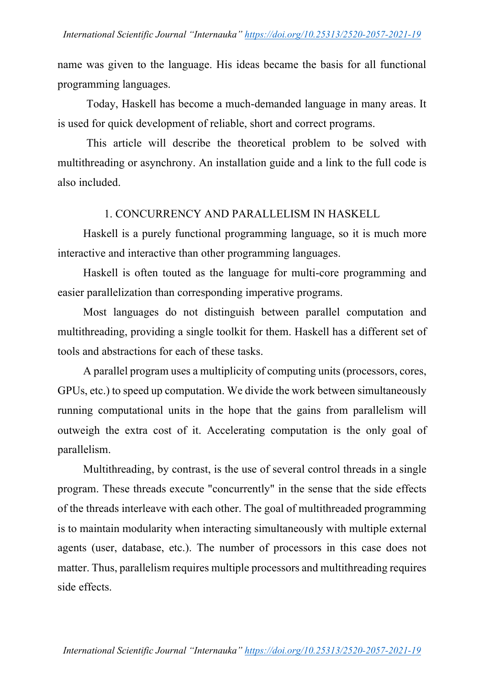name was given to the language. His ideas became the basis for all functional programming languages.

Today, Haskell has become a much-demanded language in many areas. It is used for quick development of reliable, short and correct programs.

This article will describe the theoretical problem to be solved with multithreading or asynchrony. An installation guide and a link to the full code is also included.

#### 1. CONCURRENCY AND PARALLELISM IN HASKELL

Haskell is a purely functional programming language, so it is much more interactive and interactive than other programming languages.

Haskell is often touted as the language for multi-core programming and easier parallelization than corresponding imperative programs.

Most languages do not distinguish between parallel computation and multithreading, providing a single toolkit for them. Haskell has a different set of tools and abstractions for each of these tasks.

A parallel program uses a multiplicity of computing units (processors, cores, GPUs, etc.) to speed up computation. We divide the work between simultaneously running computational units in the hope that the gains from parallelism will outweigh the extra cost of it. Accelerating computation is the only goal of parallelism.

Multithreading, by contrast, is the use of several control threads in a single program. These threads execute "concurrently" in the sense that the side effects of the threads interleave with each other. The goal of multithreaded programming is to maintain modularity when interacting simultaneously with multiple external agents (user, database, etc.). The number of processors in this case does not matter. Thus, parallelism requires multiple processors and multithreading requires side effects.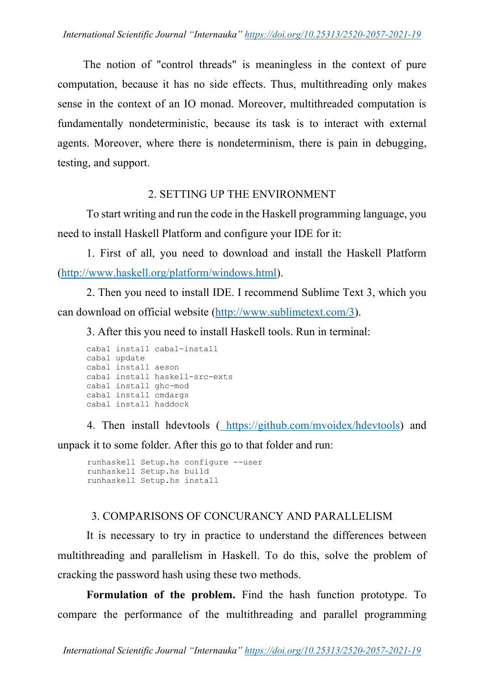The notion of "control threads" is meaningless in the context of pure computation, because it has no side effects. Thus, multithreading only makes sense in the context of an IO monad. Moreover, multithreaded computation is fundamentally nondeterministic, because its task is to interact with external agents. Moreover, where there is nondeterminism, there is pain in debugging, testing, and support.

## 2. SETTING UP THE ENVIRONMENT

To start writing and run the code in the Haskell programming language, you need to install Haskell Platform and configure your IDE for it:

1. First of all, you need to download and install the Haskell Platform (http://www.haskell.org/platform/windows.html).

2. Then you need to install IDE. I recommend Sublime Text 3, which you can download on official website (http://www.sublimetext.com/3).

3. After this you need to install Haskell tools. Run in terminal:

```
cabal install cabal-install
cabal update
cabal install aeson
cabal install haskell-src-exts
cabal install ghc-mod
cabal install cmdargs
cabal install haddock
```
4. Then install hdevtools ( https://github.com/mvoidex/hdevtools) and unpack it to some folder. After this go to that folder and run:

```
runhaskell Setup.hs configure --user
runhaskell Setup.hs build
runhaskell Setup.hs install
```
# 3. COMPARISONS OF CONCURANCY AND PARALLELISM

It is necessary to try in practice to understand the differences between multithreading and parallelism in Haskell. To do this, solve the problem of cracking the password hash using these two methods.

**Formulation of the problem.** Find the hash function prototype. To compare the performance of the multithreading and parallel programming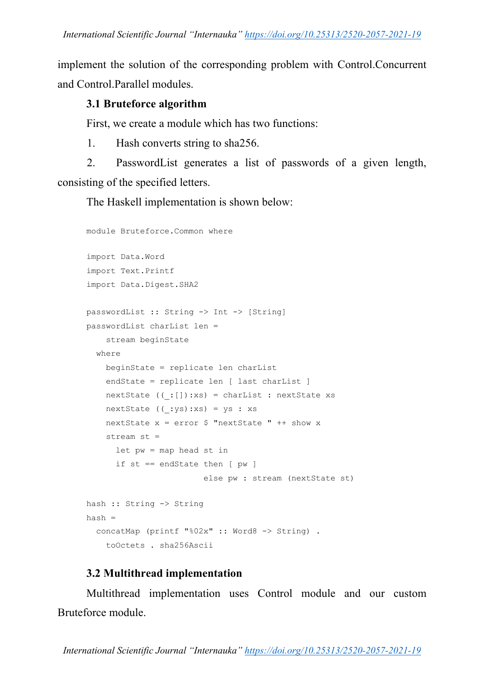implement the solution of the corresponding problem with Control.Concurrent and Control.Parallel modules.

## **3.1 Bruteforce algorithm**

First, we create a module which has two functions:

1. Hash converts string to sha256.

2. PasswordList generates a list of passwords of a given length, consisting of the specified letters.

The Haskell implementation is shown below:

```
module Bruteforce.Common where
import Data.Word
import Text.Printf
import Data.Digest.SHA2
passwordList :: String -> Int -> [String]
passwordList charList len = 
     stream beginState
   where
     beginState = replicate len charList
     endState = replicate len [ last charList ]
     nextState ((_:[]):xs) = charList : nextState xs
    nextState ((:ys):xs) = ys : xsnextState x = error $ "nextState " ++ show x
     stream st =
       let pw = map head st in
       if st == endState then [ pw ]
                         else pw : stream (nextState st)
hash :: String -> String
hash =
   concatMap (printf "%02x" :: Word8 -> String) .
     toOctets . sha256Ascii
```
# **3.2 Multithread implementation**

Multithread implementation uses Control module and our custom Bruteforce module.

*International Scientific Journal "Internauka" https://doi.org/10.25313/2520-2057-2021-19*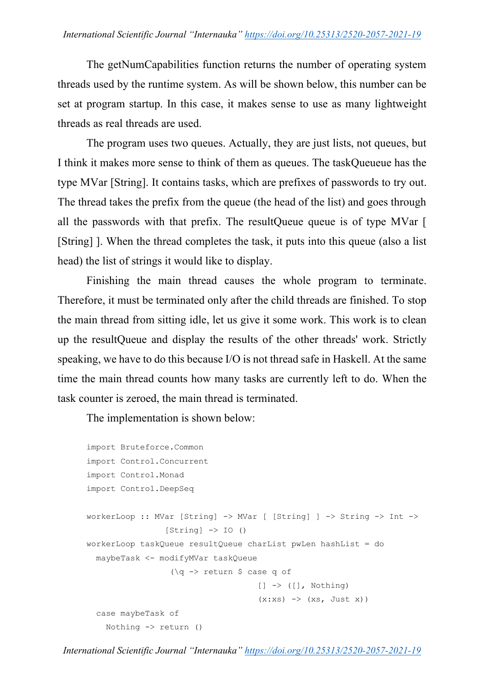The getNumCapabilities function returns the number of operating system threads used by the runtime system. As will be shown below, this number can be set at program startup. In this case, it makes sense to use as many lightweight threads as real threads are used.

The program uses two queues. Actually, they are just lists, not queues, but I think it makes more sense to think of them as queues. The taskQueueue has the type MVar [String]. It contains tasks, which are prefixes of passwords to try out. The thread takes the prefix from the queue (the head of the list) and goes through all the passwords with that prefix. The resultQueue queue is of type MVar [ [String] ]. When the thread completes the task, it puts into this queue (also a list head) the list of strings it would like to display.

Finishing the main thread causes the whole program to terminate. Therefore, it must be terminated only after the child threads are finished. To stop the main thread from sitting idle, let us give it some work. This work is to clean up the resultQueue and display the results of the other threads' work. Strictly speaking, we have to do this because I/O is not thread safe in Haskell. At the same time the main thread counts how many tasks are currently left to do. When the task counter is zeroed, the main thread is terminated.

The implementation is shown below:

```
import Bruteforce.Common
import Control.Concurrent
import Control.Monad
import Control.DeepSeq
workerLoop :: MVar [String] -> MVar [ [String] ] -> String -> Int ->
                  [String] \rightarrow IO()workerLoop taskQueue resultQueue charList pwLen hashList = do
   maybeTask <- modifyMVar taskQueue
                    (\q -> return $ case q of
                                       [ ] \rightarrow ( [ ] , Nothing)
                                       (x:xs) \rightarrow (xs, Just x) case maybeTask of
    Nothing \rightarrow return ()
```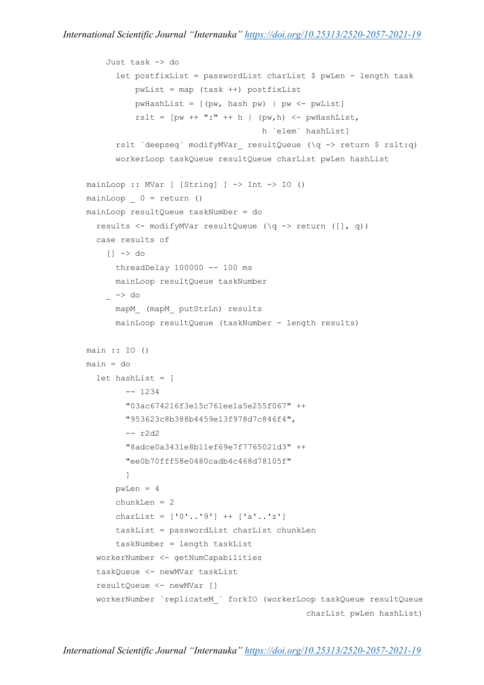```
 Just task -> do
      let postfixList = passwordList charList $ pwLen - length task
           pwList = map (task ++) postfixList
          pwHashList = [(pw, hash pw) | pw < -pwList]rslt = [pw + + ":" + h | (pw,h) < -pwHashList, h `elem` hashList] 
      rslt `deepseq` modifyMVar resultQueue (\q -> return $ rslt:q)
       workerLoop taskQueue resultQueue charList pwLen hashList
mainLoop :: MVar [ [String] ] -> Int -> IO ()
mainLoop \t 0 = return ()mainLoop resultQueue taskNumber = do
   results <- modifyMVar resultQueue (\q -> return ([], q))
   case results of
    | \rightarrow do
       threadDelay 100000 -- 100 ms
       mainLoop resultQueue taskNumber
    \overline{\phantom{a}} -> do
       mapM_ (mapM_ putStrLn) results
       mainLoop resultQueue (taskNumber - length results)
main :: IO ()
main = do let hashList = [
         -- 1234
         "03ac674216f3e15c761ee1a5e255f067" ++
         "953623c8b388b4459e13f978d7c846f4",
         -- r2d2
         "8adce0a3431e8b11ef69e7f7765021d3" ++
         "ee0b70fff58e0480cadb4c468d78105f"
         ]
      pwLen = 4 chunkLen = 2
      charList = [10', 19'] ++ [1a', 1z'] taskList = passwordList charList chunkLen
       taskNumber = length taskList
   workerNumber <- getNumCapabilities
   taskQueue <- newMVar taskList
   resultQueue <- newMVar []
   workerNumber `replicateM_` forkIO (workerLoop taskQueue resultQueue
                                                charList pwLen hashList)
```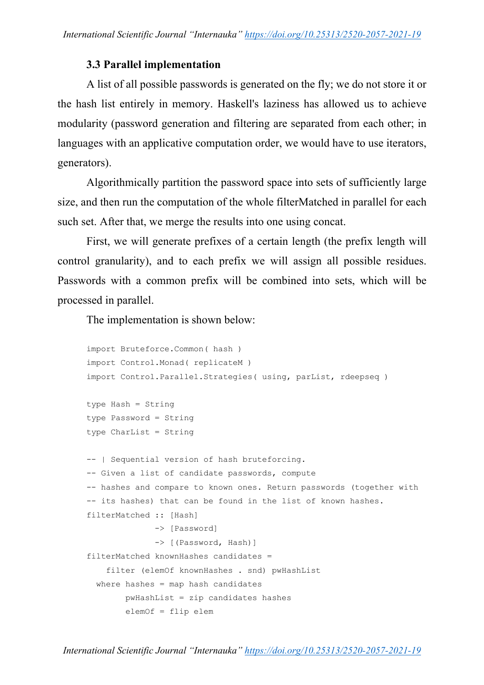### **3.3 Parallel implementation**

A list of all possible passwords is generated on the fly; we do not store it or the hash list entirely in memory. Haskell's laziness has allowed us to achieve modularity (password generation and filtering are separated from each other; in languages with an applicative computation order, we would have to use iterators, generators).

Algorithmically partition the password space into sets of sufficiently large size, and then run the computation of the whole filterMatched in parallel for each such set. After that, we merge the results into one using concat.

First, we will generate prefixes of a certain length (the prefix length will control granularity), and to each prefix we will assign all possible residues. Passwords with a common prefix will be combined into sets, which will be processed in parallel.

The implementation is shown below:

```
import Bruteforce.Common( hash )
import Control.Monad( replicateM )
import Control.Parallel.Strategies( using, parList, rdeepseq )
type Hash = String
type Password = String
type CharList = String
-- | Sequential version of hash bruteforcing.
-- Given a list of candidate passwords, compute
-- hashes and compare to known ones. Return passwords (together with
-- its hashes) that can be found in the list of known hashes.
filterMatched :: [Hash]
               -> [Password]
               -> [(Password, Hash)]
filterMatched knownHashes candidates =
     filter (elemOf knownHashes . snd) pwHashList
 where hashes = map hash candidates
         pwHashList = zip candidates hashes
         elemOf = flip elem
```
*International Scientific Journal "Internauka" https://doi.org/10.25313/2520-2057-2021-19*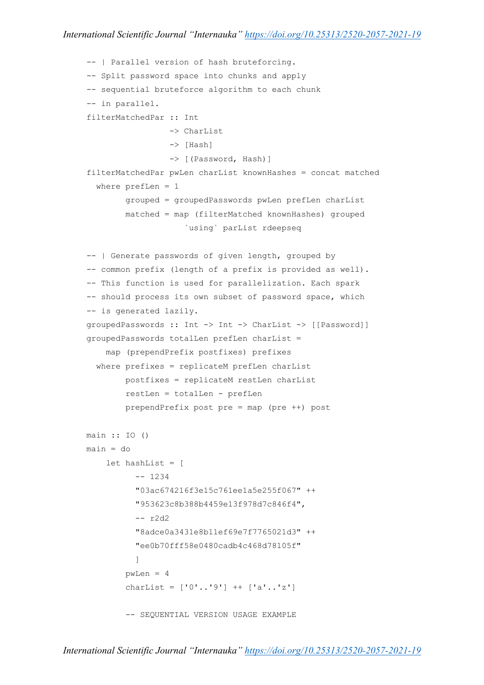```
-- | Parallel version of hash bruteforcing.
-- Split password space into chunks and apply
-- sequential bruteforce algorithm to each chunk
-- in parallel.
filterMatchedPar :: Int
                  -> CharList
                  -> [Hash]
                  -> [(Password, Hash)]
filterMatchedPar pwLen charList knownHashes = concat matched
  where prefLen = 1 grouped = groupedPasswords pwLen prefLen charList
         matched = map (filterMatched knownHashes) grouped
                     `using` parList rdeepseq
-- | Generate passwords of given length, grouped by
-- common prefix (length of a prefix is provided as well).
-- This function is used for parallelization. Each spark
-- should process its own subset of password space, which
-- is generated lazily.
groupedPasswords :: Int -> Int -> CharList -> [[Password]]
groupedPasswords totalLen prefLen charList =
     map (prependPrefix postfixes) prefixes
  where prefixes = replicateM prefLen charList
         postfixes = replicateM restLen charList
         restLen = totalLen - prefLen
         prependPrefix post pre = map (pre ++) post
main :: IO ()
main = do let hashList = [
           -- 1234
           "03ac674216f3e15c761ee1a5e255f067" ++
           "953623c8b388b4459e13f978d7c846f4",
           -- r2d2
           "8adce0a3431e8b11ef69e7f7765021d3" ++
           "ee0b70fff58e0480cadb4c468d78105f"
 ]
        pwLen = 4 charList = ['0'..'9'] ++ ['a'..'z']
         -- SEQUENTIAL VERSION USAGE EXAMPLE
```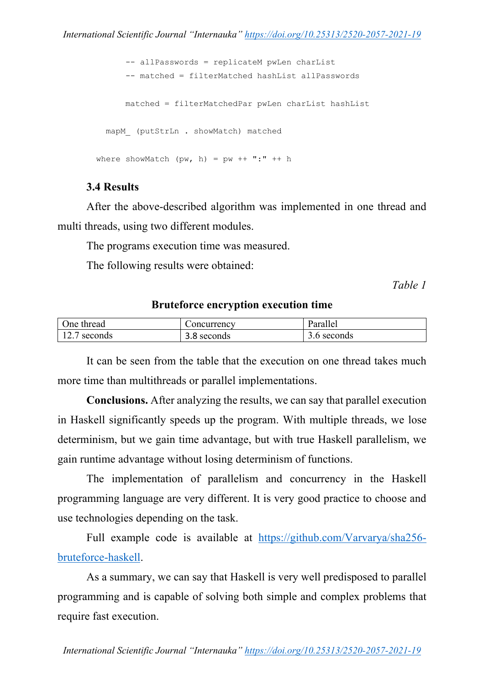```
 -- allPasswords = replicateM pwLen charList
       -- matched = filterMatched hashList allPasswords
       matched = filterMatchedPar pwLen charList hashList
  mapM (putStrLn . showMatch) matched
where showMatch (pw, h) = pw + + ";" + h
```
### **3.4 Results**

After the above-described algorithm was implemented in one thread and multi threads, using two different modules.

The programs execution time was measured.

The following results were obtained:

*Table 1*

#### **Bruteforce encryption execution time**

| One thread   | Concurrency | Parallel    |
|--------------|-------------|-------------|
| 12.7 seconds | 3.8 seconds | 3.6 seconds |

It can be seen from the table that the execution on one thread takes much more time than multithreads or parallel implementations.

**Conclusions.** After analyzing the results, we can say that parallel execution in Haskell significantly speeds up the program. With multiple threads, we lose determinism, but we gain time advantage, but with true Haskell parallelism, we gain runtime advantage without losing determinism of functions.

The implementation of parallelism and concurrency in the Haskell programming language are very different. It is very good practice to choose and use technologies depending on the task.

Full example code is available at https://github.com/Varvarya/sha256 bruteforce-haskell.

As a summary, we can say that Haskell is very well predisposed to parallel programming and is capable of solving both simple and complex problems that require fast execution.